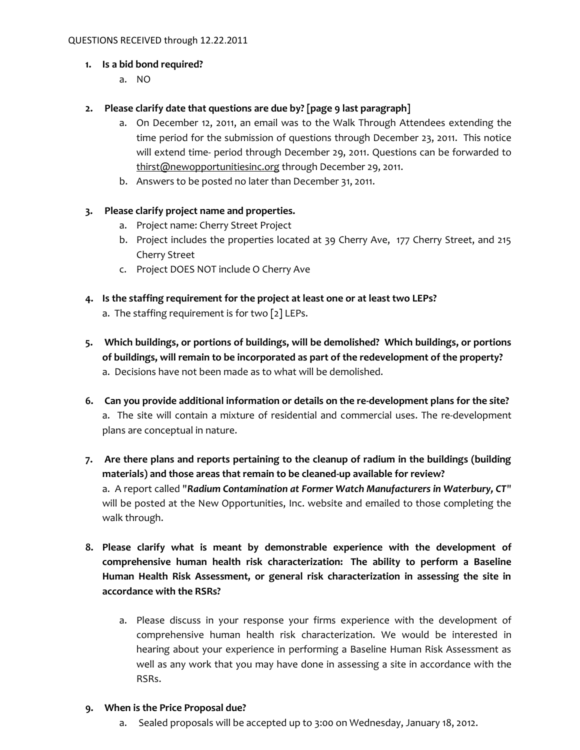### **1. Is a bid bond required?**

a. NO

### **2. Please clarify date that questions are due by? [page 9 last paragraph]**

- a. On December 12, 2011, an email was to the Walk Through Attendees extending the time period for the submission of questions through December 23, 2011. This notice will extend time- period through December 29, 2011. Questions can be forwarded to [thirst@newopportunitiesinc.org](mailto:thirst@newopportunitiesinc.org) through December 29, 2011.
- b. Answers to be posted no later than December 31, 2011.

### **3. Please clarify project name and properties.**

- a. Project name: Cherry Street Project
- b. Project includes the properties located at 39 Cherry Ave, 177 Cherry Street, and 215 Cherry Street
- c. Project DOES NOT include O Cherry Ave
- **4. Is the staffing requirement for the project at least one or at least two LEPs?** a. The staffing requirement is for two [2] LEPs.
- **5. Which buildings, or portions of buildings, will be demolished? Which buildings, or portions of buildings, will remain to be incorporated as part of the redevelopment of the property?** a. Decisions have not been made as to what will be demolished.
- **6. Can you provide additional information or details on the re-development plans for the site?** a. The site will contain a mixture of residential and commercial uses. The re-development plans are conceptual in nature.
- **7. Are there plans and reports pertaining to the cleanup of radium in the buildings (building materials) and those areas that remain to be cleaned-up available for review?** a. A report called "*Radium Contamination at Former Watch Manufacturers in Waterbury, CT*" will be posted at the New Opportunities, Inc. website and emailed to those completing the walk through.
- **8. Please clarify what is meant by demonstrable experience with the development of comprehensive human health risk characterization: The ability to perform a Baseline Human Health Risk Assessment, or general risk characterization in assessing the site in accordance with the RSRs?**
	- a. Please discuss in your response your firms experience with the development of comprehensive human health risk characterization. We would be interested in hearing about your experience in performing a Baseline Human Risk Assessment as well as any work that you may have done in assessing a site in accordance with the RSRs.

#### **9. When is the Price Proposal due?**

a. Sealed proposals will be accepted up to 3:00 on Wednesday, January 18, 2012.